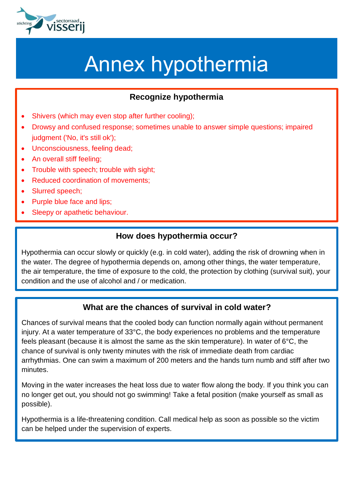

# Annex hypothermia

## **Recognize hypothermia**

- Shivers (which may even stop after further cooling);
- Drowsy and confused response; sometimes unable to answer simple questions; impaired judgment ('No, it's still ok');
- Unconsciousness, feeling dead;
- An overall stiff feeling;
- Trouble with speech; trouble with sight;
- Reduced coordination of movements;
- Slurred speech;
- Purple blue face and lips;
- Sleepy or apathetic behaviour.

#### **How does hypothermia occur?**

Hypothermia can occur slowly or quickly (e.g. in cold water), adding the risk of drowning when in the water. The degree of hypothermia depends on, among other things, the water temperature, the air temperature, the time of exposure to the cold, the protection by clothing (survival suit), your condition and the use of alcohol and / or medication.

#### **What are the chances of survival in cold water?**

Chances of survival means that the cooled body can function normally again without permanent injury. At a water temperature of 33°C, the body experiences no problems and the temperature feels pleasant (because it is almost the same as the skin temperature). In water of 6°C, the chance of survival is only twenty minutes with the risk of immediate death from cardiac arrhythmias. One can swim a maximum of 200 meters and the hands turn numb and stiff after two minutes.

Moving in the water increases the heat loss due to water flow along the body. If you think you can no longer get out, you should not go swimming! Take a fetal position (make yourself as small as possible).

Hypothermia is a life-threatening condition. Call medical help as soon as possible so the victim can be helped under the supervision of experts.